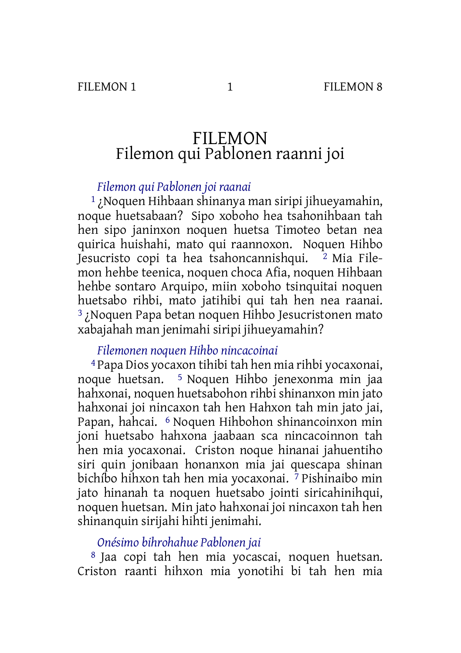# FILEMON Filemon qui Pablonen raanni joi

# *Filemon qui Pablonen joi raanai*

1 ¿Noquen Hihbaan shinanya man siripi jihueyamahin, noque huetsabaan? Sipo xoboho hea tsahonihbaan tah hen sipo janinxon noquen huetsa Timoteo betan nea quirica huishahi, mato qui raannoxon. Noquen Hihbo Jesucristo copi ta hea tsahoncannishqui. <sup>2</sup> Mia Filemon hehbe teenica, noquen choca Afia, noquen Hihbaan hehbe sontaro Arquipo, miin xoboho tsinquitai noquen huetsabo rihbi, mato jatihibi qui tah hen nea raanai. 3 ¿Noquen Papa betan noquen Hihbo Jesucristonen mato xabajahah man jenimahi siripi jihueyamahin?

## *Filemonen noquen Hihbo nincacoinai*

4 Papa Dios yocaxon tihibi tah hen mia rihbi yocaxonai, noque huetsan. 5 Noquen Hihbo jenexonma min jaa hahxonai, noquen huetsabohon rihbi shinanxon min jato hahxonai joi nincaxon tah hen Hahxon tah min jato jai, Papan, hahcai. 6 Noquen Hihbohon shinancoinxon min joni huetsabo hahxona jaabaan sca nincacoinnon tah hen mia yocaxonai. Criston noque hinanai jahuentiho siri quin jonibaan honanxon mia jai quescapa shinan bichíbo hihxon tah hen mia yocaxonai. 7 Pishinaibo min jato hinanah ta noquen huetsabo jointi siricahinihqui, noquen huetsan. Min jato hahxonai joi nincaxon tah hen shinanquin sirijahi hihti jenimahi.

# *Onésimo bihrohahue Pablonen jai*

8 Jaa copi tah hen mia yocascai, noquen huetsan. Criston raanti hihxon mia yonotihi bi tah hen mia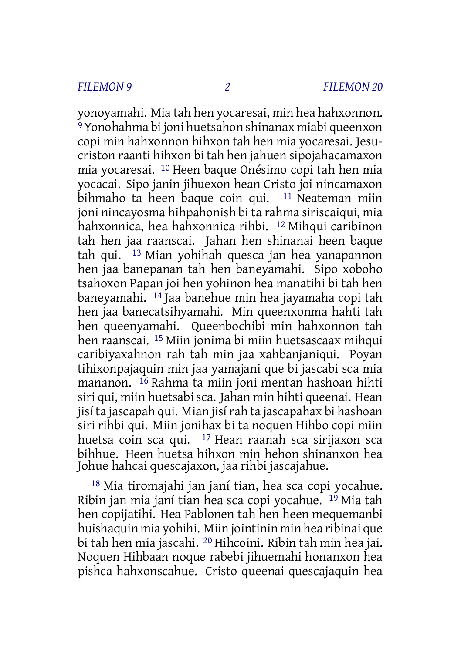yonoyamahi. Mia tah hen yocaresai, min hea hahxonnon. 9Yonohahma bi joni huetsahon shinanax miabi queenxon copi min hahxonnon hihxon tah hen mia yocaresai. Jesucriston raanti hihxon bi tah hen jahuen sipojahacamaxon mia yocaresai. 10 Heen baque Onésimo copi tah hen mia yocacai. Sipo janin jihuexon hean Cristo joi nincamaxon bihmaho ta heen baque coin qui. 11 Neateman miin joni nincayosma hihpahonish bi ta rahma siriscaiqui, mia hahxonnica, hea hahxonnica rihbi. 12 Mihqui caribinon tah hen jaa raanscai. Jahan hen shinanai heen baque tah qui. 13 Mian yohihah quesca jan hea yanapannon hen jaa banepanan tah hen baneyamahi. Sipo xoboho tsahoxon Papan joi hen yohinon hea manatihi bi tah hen baneyamahi. 14 Jaa banehue min hea jayamaha copi tah hen jaa banecatsihyamahi. Min queenxonma hahti tah hen queenyamahi. Queenbochibi min hahxonnon tah hen raanscai. 15 Miin jonima bi miin huetsascaax mihqui caribiyaxahnon rah tah min jaa xahbanjaniqui. Poyan tihixonpajaquin min jaa yamajani que bi jascabi sca mia mananon. 16 Rahma ta miin joni mentan hashoan hihti siri qui, miin huetsabi sca. Jahan min hihti queenai. Hean jisí ta jascapah qui. Mian jisírah ta jascapahax bi hashoan siri rihbi qui. Miin jonihax bi ta noquen Hihbo copi miin huetsa coin sca qui. 17 Hean raanah sca sirijaxon sca bihhue. Heen huetsa hihxon min hehon shinanxon hea Johue hahcai quescajaxon, jaa rihbi jascajahue.

18 Mia tiromajahi jan janí tian, hea sca copi yocahue. Ribin jan mia janí tian hea sca copi yocahue. 19 Mia tah hen copijatihi. Hea Pablonen tah hen heen mequemanbi huishaquin mia yohihi. Miin jointinin min hea ribinai que bi tah hen mia jascahi. 20 Hihcoini. Ribin tah min hea jai. Noquen Hihbaan noque rabebi jihuemahi honanxon hea pishca hahxonscahue. Cristo queenai quescajaquin hea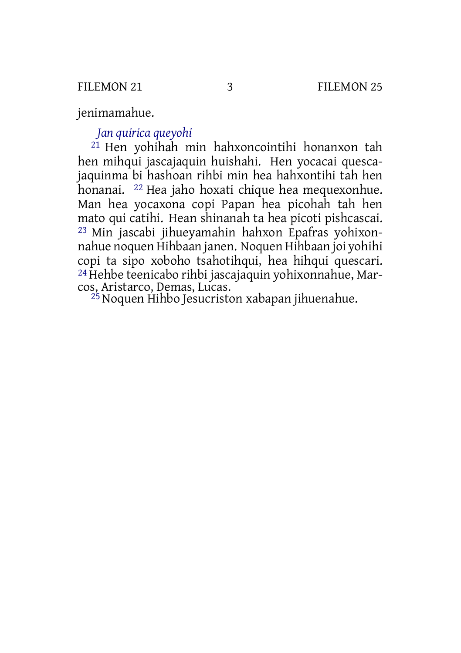jenimamahue.

*Jan quirica queyohi*

21 Hen yohihah min hahxoncointihi honanxon tah hen mihqui jascajaquin huishahi. Hen yocacai quescajaquinma bi hashoan rihbi min hea hahxontihi tah hen honanai. 22 Hea jaho hoxati chique hea mequexonhue. Man hea yocaxona copi Papan hea picohah tah hen mato qui catihi. Hean shinanah ta hea picoti pishcascai. 23 Min jascabi jihueyamahin hahxon Epafras yohixonnahue noquen Hihbaan janen. Noquen Hihbaan joi yohihi copi ta sipo xoboho tsahotihqui, hea hihqui quescari. <sup>24</sup> Hehbe teenicabo rihbi jascajaquin yohixonnahue, Marcos, Aristarco, Demas, Lucas.

 $^{25}$  Noquen Hihbo Jesucriston xabapan jihuenahue.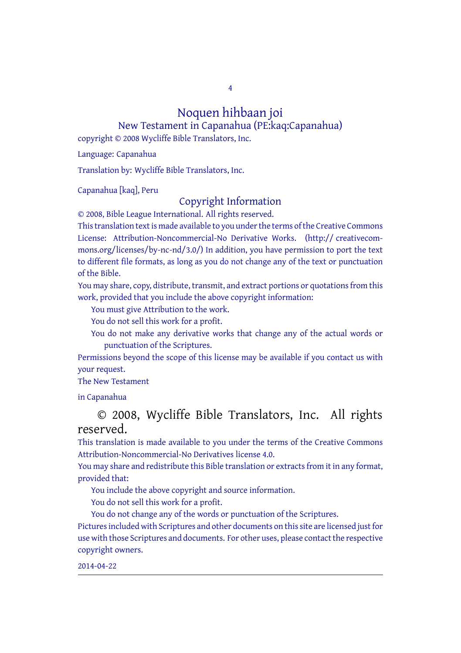4

#### Noquen hihbaan joi New Testament in Capanahua (PE:kaq:Capanahua)

copyright © 2008 Wycliffe Bible Translators, Inc.

Language: Capanahua

Translation by: Wycliffe Bible Translators, Inc.

Capanahua [kaq], Peru

#### Copyright Information

© 2008, Bible League International. All rights reserved.

This translation text is made available to you under the terms of the Creative [Commons](http://creativecommons.org/licenses/by-nc-nd/4.0/) License: [Attribution-Noncommercial-No](http://creativecommons.org/licenses/by-nc-nd/4.0/) Derivative Works. (http:// creativecommons.org/licenses/by-nc-nd/3.0/) In addition, you have permission to port the text to different file formats, as long as you do not change any of the text or punctuation of the Bible.

You may share, copy, distribute, transmit, and extract portions or quotations from this work, provided that you include the above copyright information:

You must give Attribution to the work.

You do not sell this work for a profit.

You do not make any derivative works that change any of the actual words or punctuation of the Scriptures.

Permissions beyond the scope of this license may be available if you contact us with your request.

#### The New Testament

in Capanahua

## © 2008, Wycliffe Bible Translators, Inc. All rights reserved.

This translation is made available to you under the terms of the Creative Commons Attribution-Noncommercial-No Derivatives license 4.0.

You may share and redistribute this Bible translation or extracts from it in any format, provided that:

You include the above copyright and source information.

You do not sell this work for a profit.

You do not change any of the words or punctuation of the Scriptures. Pictures included with Scriptures and other documents on this site are licensed just for use with those Scriptures and documents. For other uses, please contact the respective copyright owners.

2014-04-22